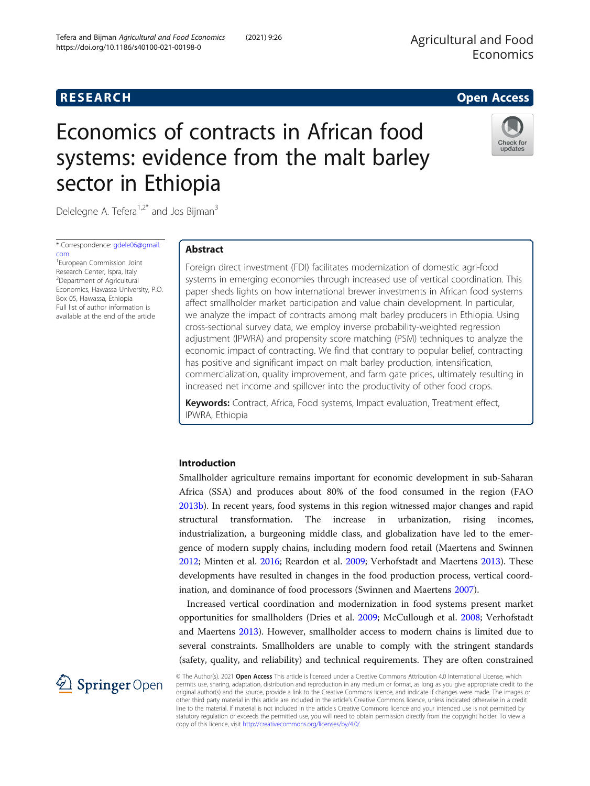# Economics of contracts in African food systems: evidence from the malt barley sector in Ethiopia



Delelegne A. Tefera $1.2^*$  and Jos Bijman<sup>3</sup>

https://doi.org/10.1186/s40100-021-00198-0

Tefera and Bijman Agricultural and Food Economics (2021) 9:26

\* Correspondence: [gdele06@gmail.](mailto:gdele06@gmail.com) [com](mailto:gdele06@gmail.com)

1 European Commission Joint Research Center, Ispra, Italy 2 Department of Agricultural Economics, Hawassa University, P.O. Box 05, Hawassa, Ethiopia Full list of author information is available at the end of the article

# Abstract

Foreign direct investment (FDI) facilitates modernization of domestic agri-food systems in emerging economies through increased use of vertical coordination. This paper sheds lights on how international brewer investments in African food systems affect smallholder market participation and value chain development. In particular, we analyze the impact of contracts among malt barley producers in Ethiopia. Using cross-sectional survey data, we employ inverse probability-weighted regression adjustment (IPWRA) and propensity score matching (PSM) techniques to analyze the economic impact of contracting. We find that contrary to popular belief, contracting has positive and significant impact on malt barley production, intensification, commercialization, quality improvement, and farm gate prices, ultimately resulting in increased net income and spillover into the productivity of other food crops.

Keywords: Contract, Africa, Food systems, Impact evaluation, Treatment effect, IPWRA, Ethiopia

# Introduction

Smallholder agriculture remains important for economic development in sub-Saharan Africa (SSA) and produces about 80% of the food consumed in the region (FAO [2013b](#page-19-0)). In recent years, food systems in this region witnessed major changes and rapid structural transformation. The increase in urbanization, rising incomes, industrialization, a burgeoning middle class, and globalization have led to the emergence of modern supply chains, including modern food retail (Maertens and Swinnen [2012](#page-19-0); Minten et al. [2016](#page-19-0); Reardon et al. [2009;](#page-20-0) Verhofstadt and Maertens [2013](#page-20-0)). These developments have resulted in changes in the food production process, vertical coordination, and dominance of food processors (Swinnen and Maertens [2007\)](#page-20-0).

Increased vertical coordination and modernization in food systems present market opportunities for smallholders (Dries et al. [2009](#page-19-0); McCullough et al. [2008;](#page-19-0) Verhofstadt and Maertens [2013](#page-20-0)). However, smallholder access to modern chains is limited due to several constraints. Smallholders are unable to comply with the stringent standards (safety, quality, and reliability) and technical requirements. They are often constrained



© The Author(s). 2021 Open Access This article is licensed under a Creative Commons Attribution 4.0 International License, which permits use, sharing, adaptation, distribution and reproduction in any medium or format, as long as you give appropriate credit to the original author(s) and the source, provide a link to the Creative Commons licence, and indicate if changes were made. The images or other third party material in this article are included in the article's Creative Commons licence, unless indicated otherwise in a credit line to the material. If material is not included in the article's Creative Commons licence and your intended use is not permitted by statutory regulation or exceeds the permitted use, you will need to obtain permission directly from the copyright holder. To view a copy of this licence, visit <http://creativecommons.org/licenses/by/4.0/>.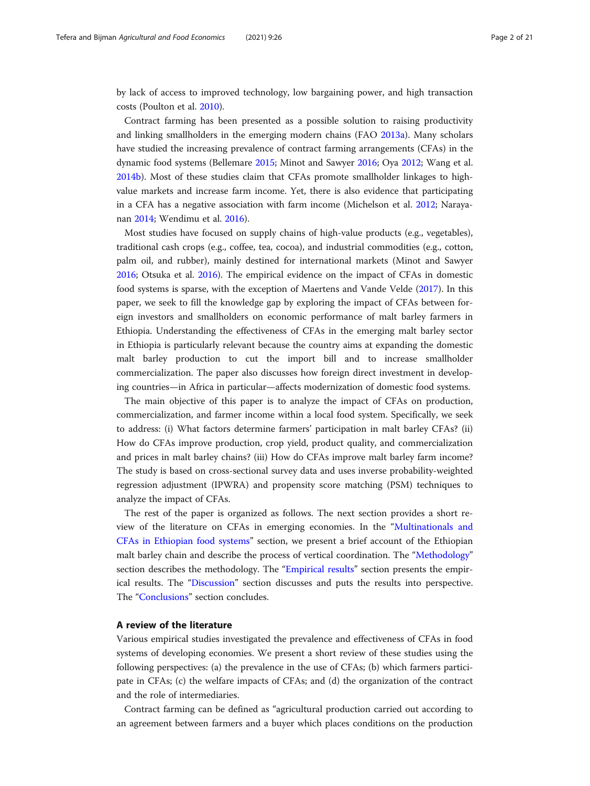<span id="page-1-0"></span>by lack of access to improved technology, low bargaining power, and high transaction costs (Poulton et al. [2010](#page-19-0)).

Contract farming has been presented as a possible solution to raising productivity and linking smallholders in the emerging modern chains (FAO [2013a\)](#page-19-0). Many scholars have studied the increasing prevalence of contract farming arrangements (CFAs) in the dynamic food systems (Bellemare [2015;](#page-18-0) Minot and Sawyer [2016;](#page-19-0) Oya [2012](#page-19-0); Wang et al. [2014b](#page-20-0)). Most of these studies claim that CFAs promote smallholder linkages to highvalue markets and increase farm income. Yet, there is also evidence that participating in a CFA has a negative association with farm income (Michelson et al. [2012;](#page-19-0) Narayanan [2014](#page-19-0); Wendimu et al. [2016\)](#page-20-0).

Most studies have focused on supply chains of high-value products (e.g., vegetables), traditional cash crops (e.g., coffee, tea, cocoa), and industrial commodities (e.g., cotton, palm oil, and rubber), mainly destined for international markets (Minot and Sawyer [2016](#page-19-0); Otsuka et al. [2016\)](#page-19-0). The empirical evidence on the impact of CFAs in domestic food systems is sparse, with the exception of Maertens and Vande Velde ([2017\)](#page-19-0). In this paper, we seek to fill the knowledge gap by exploring the impact of CFAs between foreign investors and smallholders on economic performance of malt barley farmers in Ethiopia. Understanding the effectiveness of CFAs in the emerging malt barley sector in Ethiopia is particularly relevant because the country aims at expanding the domestic malt barley production to cut the import bill and to increase smallholder commercialization. The paper also discusses how foreign direct investment in developing countries—in Africa in particular—affects modernization of domestic food systems.

The main objective of this paper is to analyze the impact of CFAs on production, commercialization, and farmer income within a local food system. Specifically, we seek to address: (i) What factors determine farmers' participation in malt barley CFAs? (ii) How do CFAs improve production, crop yield, product quality, and commercialization and prices in malt barley chains? (iii) How do CFAs improve malt barley farm income? The study is based on cross-sectional survey data and uses inverse probability-weighted regression adjustment (IPWRA) and propensity score matching (PSM) techniques to analyze the impact of CFAs.

The rest of the paper is organized as follows. The next section provides a short review of the literature on CFAs in emerging economies. In the "[Multinationals and](#page-3-0) [CFAs in Ethiopian food systems](#page-3-0)" section, we present a brief account of the Ethiopian malt barley chain and describe the process of vertical coordination. The "[Methodology](#page-5-0)" section describes the methodology. The "[Empirical results](#page-9-0)" section presents the empirical results. The "[Discussion](#page-13-0)" section discusses and puts the results into perspective. The "[Conclusions](#page-14-0)" section concludes.

# A review of the literature

Various empirical studies investigated the prevalence and effectiveness of CFAs in food systems of developing economies. We present a short review of these studies using the following perspectives: (a) the prevalence in the use of CFAs; (b) which farmers participate in CFAs; (c) the welfare impacts of CFAs; and (d) the organization of the contract and the role of intermediaries.

Contract farming can be defined as "agricultural production carried out according to an agreement between farmers and a buyer which places conditions on the production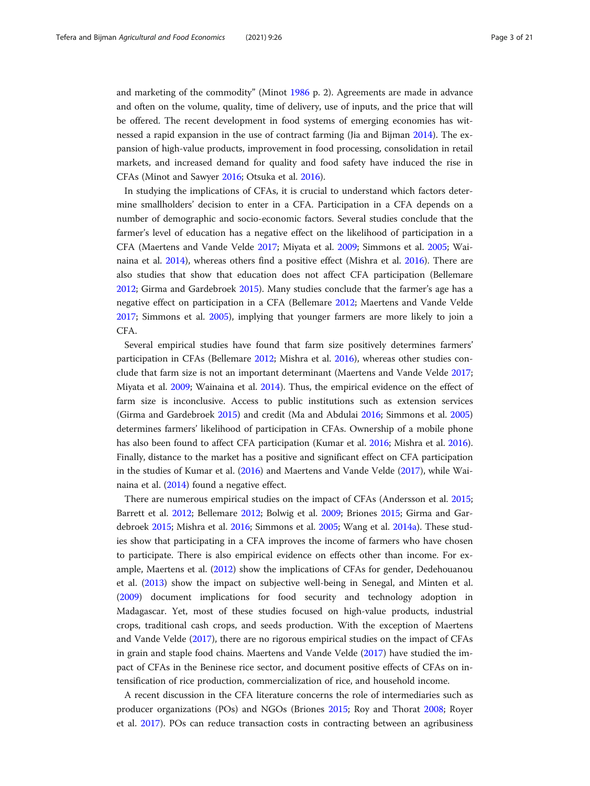and marketing of the commodity" (Minot [1986](#page-19-0) p. 2). Agreements are made in advance and often on the volume, quality, time of delivery, use of inputs, and the price that will be offered. The recent development in food systems of emerging economies has witnessed a rapid expansion in the use of contract farming (Jia and Bijman [2014\)](#page-19-0). The expansion of high-value products, improvement in food processing, consolidation in retail markets, and increased demand for quality and food safety have induced the rise in CFAs (Minot and Sawyer [2016;](#page-19-0) Otsuka et al. [2016](#page-19-0)).

In studying the implications of CFAs, it is crucial to understand which factors determine smallholders' decision to enter in a CFA. Participation in a CFA depends on a number of demographic and socio-economic factors. Several studies conclude that the farmer's level of education has a negative effect on the likelihood of participation in a CFA (Maertens and Vande Velde [2017;](#page-19-0) Miyata et al. [2009;](#page-19-0) Simmons et al. [2005](#page-20-0); Wainaina et al. [2014\)](#page-20-0), whereas others find a positive effect (Mishra et al. [2016](#page-19-0)). There are also studies that show that education does not affect CFA participation (Bellemare [2012](#page-18-0); Girma and Gardebroek [2015](#page-19-0)). Many studies conclude that the farmer's age has a negative effect on participation in a CFA (Bellemare [2012](#page-18-0); Maertens and Vande Velde [2017](#page-19-0); Simmons et al. [2005\)](#page-20-0), implying that younger farmers are more likely to join a CFA.

Several empirical studies have found that farm size positively determines farmers' participation in CFAs (Bellemare [2012;](#page-18-0) Mishra et al. [2016\)](#page-19-0), whereas other studies conclude that farm size is not an important determinant (Maertens and Vande Velde [2017](#page-19-0); Miyata et al. [2009;](#page-19-0) Wainaina et al. [2014\)](#page-20-0). Thus, the empirical evidence on the effect of farm size is inconclusive. Access to public institutions such as extension services (Girma and Gardebroek [2015\)](#page-19-0) and credit (Ma and Abdulai [2016;](#page-19-0) Simmons et al. [2005](#page-20-0)) determines farmers' likelihood of participation in CFAs. Ownership of a mobile phone has also been found to affect CFA participation (Kumar et al. [2016;](#page-19-0) Mishra et al. [2016](#page-19-0)). Finally, distance to the market has a positive and significant effect on CFA participation in the studies of Kumar et al. [\(2016\)](#page-19-0) and Maertens and Vande Velde ([2017](#page-19-0)), while Wainaina et al. [\(2014](#page-20-0)) found a negative effect.

There are numerous empirical studies on the impact of CFAs (Andersson et al. [2015](#page-18-0); Barrett et al. [2012](#page-18-0); Bellemare [2012](#page-18-0); Bolwig et al. [2009](#page-18-0); Briones [2015](#page-19-0); Girma and Gardebroek [2015](#page-19-0); Mishra et al. [2016;](#page-19-0) Simmons et al. [2005](#page-20-0); Wang et al. [2014a\)](#page-20-0). These studies show that participating in a CFA improves the income of farmers who have chosen to participate. There is also empirical evidence on effects other than income. For example, Maertens et al. ([2012](#page-19-0)) show the implications of CFAs for gender, Dedehouanou et al. [\(2013\)](#page-19-0) show the impact on subjective well-being in Senegal, and Minten et al. ([2009](#page-19-0)) document implications for food security and technology adoption in Madagascar. Yet, most of these studies focused on high-value products, industrial crops, traditional cash crops, and seeds production. With the exception of Maertens and Vande Velde [\(2017\)](#page-19-0), there are no rigorous empirical studies on the impact of CFAs in grain and staple food chains. Maertens and Vande Velde [\(2017\)](#page-19-0) have studied the impact of CFAs in the Beninese rice sector, and document positive effects of CFAs on intensification of rice production, commercialization of rice, and household income.

A recent discussion in the CFA literature concerns the role of intermediaries such as producer organizations (POs) and NGOs (Briones [2015](#page-19-0); Roy and Thorat [2008;](#page-20-0) Royer et al. [2017\)](#page-20-0). POs can reduce transaction costs in contracting between an agribusiness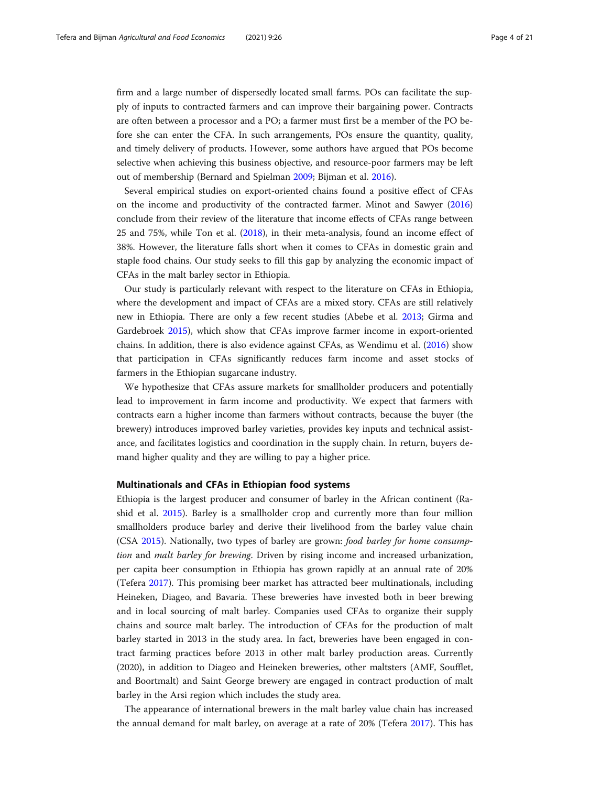<span id="page-3-0"></span>firm and a large number of dispersedly located small farms. POs can facilitate the supply of inputs to contracted farmers and can improve their bargaining power. Contracts are often between a processor and a PO; a farmer must first be a member of the PO before she can enter the CFA. In such arrangements, POs ensure the quantity, quality, and timely delivery of products. However, some authors have argued that POs become selective when achieving this business objective, and resource-poor farmers may be left out of membership (Bernard and Spielman [2009;](#page-18-0) Bijman et al. [2016\)](#page-18-0).

Several empirical studies on export-oriented chains found a positive effect of CFAs on the income and productivity of the contracted farmer. Minot and Sawyer ([2016](#page-19-0)) conclude from their review of the literature that income effects of CFAs range between 25 and 75%, while Ton et al. [\(2018](#page-20-0)), in their meta-analysis, found an income effect of 38%. However, the literature falls short when it comes to CFAs in domestic grain and staple food chains. Our study seeks to fill this gap by analyzing the economic impact of CFAs in the malt barley sector in Ethiopia.

Our study is particularly relevant with respect to the literature on CFAs in Ethiopia, where the development and impact of CFAs are a mixed story. CFAs are still relatively new in Ethiopia. There are only a few recent studies (Abebe et al. [2013;](#page-18-0) Girma and Gardebroek [2015](#page-19-0)), which show that CFAs improve farmer income in export-oriented chains. In addition, there is also evidence against CFAs, as Wendimu et al. ([2016](#page-20-0)) show that participation in CFAs significantly reduces farm income and asset stocks of farmers in the Ethiopian sugarcane industry.

We hypothesize that CFAs assure markets for smallholder producers and potentially lead to improvement in farm income and productivity. We expect that farmers with contracts earn a higher income than farmers without contracts, because the buyer (the brewery) introduces improved barley varieties, provides key inputs and technical assistance, and facilitates logistics and coordination in the supply chain. In return, buyers demand higher quality and they are willing to pay a higher price.

# Multinationals and CFAs in Ethiopian food systems

Ethiopia is the largest producer and consumer of barley in the African continent (Rashid et al. [2015](#page-19-0)). Barley is a smallholder crop and currently more than four million smallholders produce barley and derive their livelihood from the barley value chain (CSA [2015\)](#page-19-0). Nationally, two types of barley are grown: food barley for home consumption and malt barley for brewing. Driven by rising income and increased urbanization, per capita beer consumption in Ethiopia has grown rapidly at an annual rate of 20% (Tefera [2017](#page-20-0)). This promising beer market has attracted beer multinationals, including Heineken, Diageo, and Bavaria. These breweries have invested both in beer brewing and in local sourcing of malt barley. Companies used CFAs to organize their supply chains and source malt barley. The introduction of CFAs for the production of malt barley started in 2013 in the study area. In fact, breweries have been engaged in contract farming practices before 2013 in other malt barley production areas. Currently (2020), in addition to Diageo and Heineken breweries, other maltsters (AMF, Soufflet, and Boortmalt) and Saint George brewery are engaged in contract production of malt barley in the Arsi region which includes the study area.

The appearance of international brewers in the malt barley value chain has increased the annual demand for malt barley, on average at a rate of 20% (Tefera [2017](#page-20-0)). This has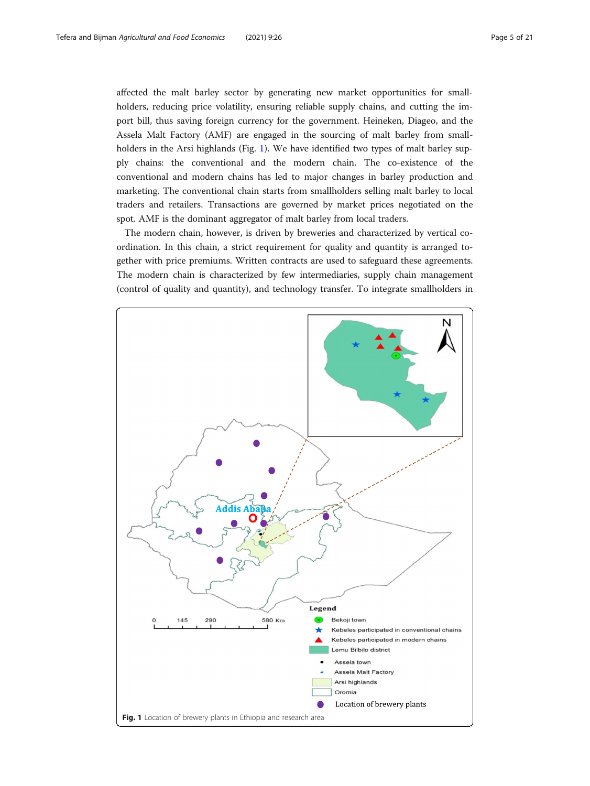<span id="page-4-0"></span>affected the malt barley sector by generating new market opportunities for smallholders, reducing price volatility, ensuring reliable supply chains, and cutting the import bill, thus saving foreign currency for the government. Heineken, Diageo, and the Assela Malt Factory (AMF) are engaged in the sourcing of malt barley from smallholders in the Arsi highlands (Fig. 1). We have identified two types of malt barley supply chains: the conventional and the modern chain. The co-existence of the conventional and modern chains has led to major changes in barley production and marketing. The conventional chain starts from smallholders selling malt barley to local traders and retailers. Transactions are governed by market prices negotiated on the spot. AMF is the dominant aggregator of malt barley from local traders.

The modern chain, however, is driven by breweries and characterized by vertical coordination. In this chain, a strict requirement for quality and quantity is arranged together with price premiums. Written contracts are used to safeguard these agreements. The modern chain is characterized by few intermediaries, supply chain management (control of quality and quantity), and technology transfer. To integrate smallholders in

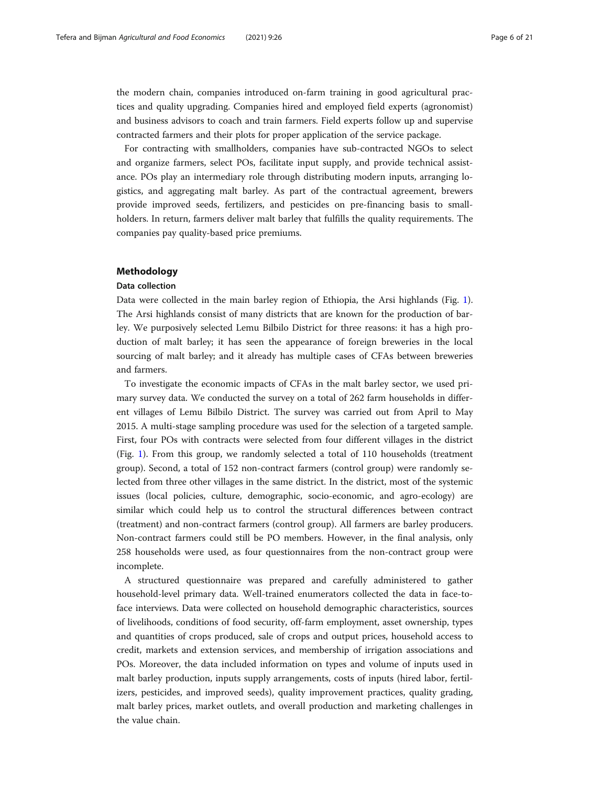<span id="page-5-0"></span>the modern chain, companies introduced on-farm training in good agricultural practices and quality upgrading. Companies hired and employed field experts (agronomist) and business advisors to coach and train farmers. Field experts follow up and supervise contracted farmers and their plots for proper application of the service package.

For contracting with smallholders, companies have sub-contracted NGOs to select and organize farmers, select POs, facilitate input supply, and provide technical assistance. POs play an intermediary role through distributing modern inputs, arranging logistics, and aggregating malt barley. As part of the contractual agreement, brewers provide improved seeds, fertilizers, and pesticides on pre-financing basis to smallholders. In return, farmers deliver malt barley that fulfills the quality requirements. The companies pay quality-based price premiums.

# Methodology

# Data collection

Data were collected in the main barley region of Ethiopia, the Arsi highlands (Fig. [1](#page-4-0)). The Arsi highlands consist of many districts that are known for the production of barley. We purposively selected Lemu Bilbilo District for three reasons: it has a high production of malt barley; it has seen the appearance of foreign breweries in the local sourcing of malt barley; and it already has multiple cases of CFAs between breweries and farmers.

To investigate the economic impacts of CFAs in the malt barley sector, we used primary survey data. We conducted the survey on a total of 262 farm households in different villages of Lemu Bilbilo District. The survey was carried out from April to May 2015. A multi-stage sampling procedure was used for the selection of a targeted sample. First, four POs with contracts were selected from four different villages in the district (Fig. [1](#page-4-0)). From this group, we randomly selected a total of 110 households (treatment group). Second, a total of 152 non-contract farmers (control group) were randomly selected from three other villages in the same district. In the district, most of the systemic issues (local policies, culture, demographic, socio-economic, and agro-ecology) are similar which could help us to control the structural differences between contract (treatment) and non-contract farmers (control group). All farmers are barley producers. Non-contract farmers could still be PO members. However, in the final analysis, only 258 households were used, as four questionnaires from the non-contract group were incomplete.

A structured questionnaire was prepared and carefully administered to gather household-level primary data. Well-trained enumerators collected the data in face-toface interviews. Data were collected on household demographic characteristics, sources of livelihoods, conditions of food security, off-farm employment, asset ownership, types and quantities of crops produced, sale of crops and output prices, household access to credit, markets and extension services, and membership of irrigation associations and POs. Moreover, the data included information on types and volume of inputs used in malt barley production, inputs supply arrangements, costs of inputs (hired labor, fertilizers, pesticides, and improved seeds), quality improvement practices, quality grading, malt barley prices, market outlets, and overall production and marketing challenges in the value chain.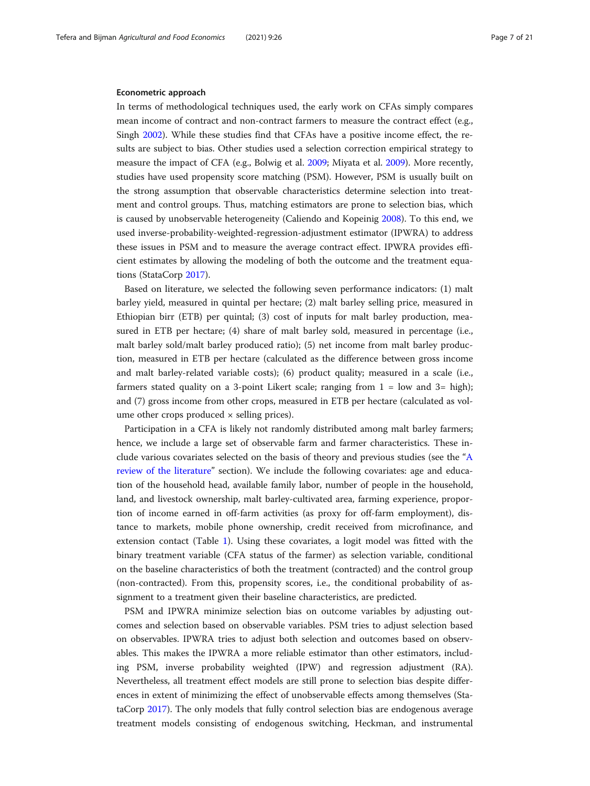# Econometric approach

In terms of methodological techniques used, the early work on CFAs simply compares mean income of contract and non-contract farmers to measure the contract effect (e.g., Singh [2002\)](#page-20-0). While these studies find that CFAs have a positive income effect, the results are subject to bias. Other studies used a selection correction empirical strategy to measure the impact of CFA (e.g., Bolwig et al. [2009](#page-18-0); Miyata et al. [2009](#page-19-0)). More recently, studies have used propensity score matching (PSM). However, PSM is usually built on the strong assumption that observable characteristics determine selection into treatment and control groups. Thus, matching estimators are prone to selection bias, which is caused by unobservable heterogeneity (Caliendo and Kopeinig [2008](#page-19-0)). To this end, we used inverse-probability-weighted-regression-adjustment estimator (IPWRA) to address these issues in PSM and to measure the average contract effect. IPWRA provides efficient estimates by allowing the modeling of both the outcome and the treatment equations (StataCorp [2017](#page-20-0)).

Based on literature, we selected the following seven performance indicators: (1) malt barley yield, measured in quintal per hectare; (2) malt barley selling price, measured in Ethiopian birr (ETB) per quintal; (3) cost of inputs for malt barley production, measured in ETB per hectare; (4) share of malt barley sold, measured in percentage (i.e., malt barley sold/malt barley produced ratio); (5) net income from malt barley production, measured in ETB per hectare (calculated as the difference between gross income and malt barley-related variable costs); (6) product quality; measured in a scale (i.e., farmers stated quality on a 3-point Likert scale; ranging from  $1 =$  low and  $3 =$  high); and (7) gross income from other crops, measured in ETB per hectare (calculated as volume other crops produced  $\times$  selling prices).

Participation in a CFA is likely not randomly distributed among malt barley farmers; hence, we include a large set of observable farm and farmer characteristics. These include various covariates selected on the basis of theory and previous studies (see the "[A](#page-1-0) [review of the literature](#page-1-0)" section). We include the following covariates: age and education of the household head, available family labor, number of people in the household, land, and livestock ownership, malt barley-cultivated area, farming experience, proportion of income earned in off-farm activities (as proxy for off-farm employment), distance to markets, mobile phone ownership, credit received from microfinance, and extension contact (Table [1\)](#page-7-0). Using these covariates, a logit model was fitted with the binary treatment variable (CFA status of the farmer) as selection variable, conditional on the baseline characteristics of both the treatment (contracted) and the control group (non-contracted). From this, propensity scores, i.e., the conditional probability of assignment to a treatment given their baseline characteristics, are predicted.

PSM and IPWRA minimize selection bias on outcome variables by adjusting outcomes and selection based on observable variables. PSM tries to adjust selection based on observables. IPWRA tries to adjust both selection and outcomes based on observables. This makes the IPWRA a more reliable estimator than other estimators, including PSM, inverse probability weighted (IPW) and regression adjustment (RA). Nevertheless, all treatment effect models are still prone to selection bias despite differences in extent of minimizing the effect of unobservable effects among themselves (StataCorp [2017\)](#page-20-0). The only models that fully control selection bias are endogenous average treatment models consisting of endogenous switching, Heckman, and instrumental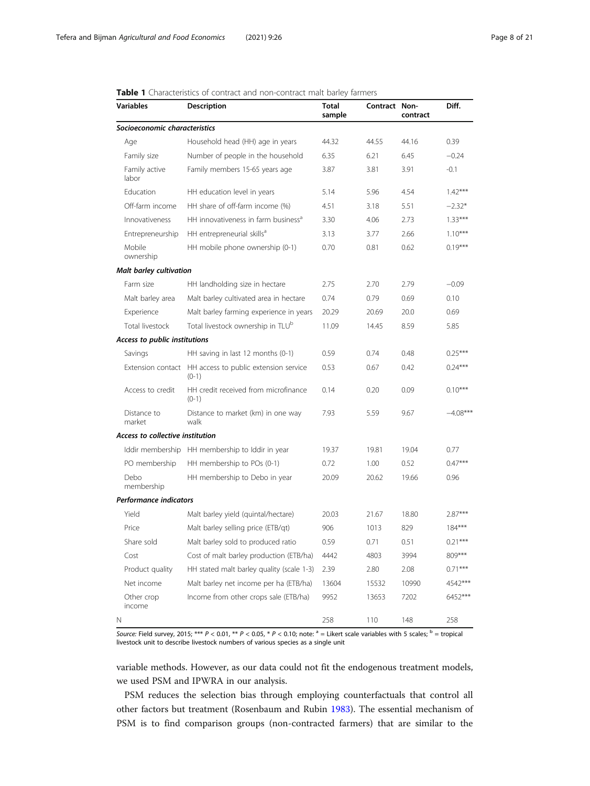# <span id="page-7-0"></span>Table 1 Characteristics of contract and non-contract malt barley farmers

| <b>Variables</b>                 | Description                                      | Total<br>sample | Contract Non- | contract | Diff.      |
|----------------------------------|--------------------------------------------------|-----------------|---------------|----------|------------|
| Socioeconomic characteristics    |                                                  |                 |               |          |            |
| Age                              | Household head (HH) age in years                 | 44.32           | 44.55         | 44.16    | 0.39       |
| Family size                      | Number of people in the household                | 6.35            | 6.21          | 6.45     | $-0.24$    |
| Family active<br>labor           | Family members 15-65 years age                   | 3.87            | 3.81          | 3.91     | $-0.1$     |
| Education                        | HH education level in years                      | 5.14            | 5.96          | 4.54     | $1.42***$  |
| Off-farm income                  | HH share of off-farm income (%)                  | 4.51            | 3.18          | 5.51     | $-2.32*$   |
| Innovativeness                   | HH innovativeness in farm business <sup>a</sup>  | 3.30            | 4.06          | 2.73     | $1.33***$  |
| Entrepreneurship                 | HH entrepreneurial skills <sup>a</sup>           | 3.13            | 3.77          | 2.66     | $1.10***$  |
| Mobile<br>ownership              | HH mobile phone ownership (0-1)                  | 0.70            | 0.81          | 0.62     | $0.19***$  |
| <b>Malt barley cultivation</b>   |                                                  |                 |               |          |            |
| Farm size                        | HH landholding size in hectare                   | 2.75            | 2.70          | 2.79     | $-0.09$    |
| Malt barley area                 | Malt barley cultivated area in hectare           | 0.74            | 0.79          | 0.69     | 0.10       |
| Experience                       | Malt barley farming experience in years          | 20.29           | 20.69         | 20.0     | 0.69       |
| Total livestock                  | Total livestock ownership in TLU <sup>b</sup>    | 11.09           | 14.45         | 8.59     | 5.85       |
| Access to public institutions    |                                                  |                 |               |          |            |
| Savings                          | HH saving in last 12 months (0-1)                | 0.59            | 0.74          | 0.48     | $0.25***$  |
| Extension contact                | HH access to public extension service<br>$(0-1)$ | 0.53            | 0.67          | 0.42     | $0.24***$  |
| Access to credit                 | HH credit received from microfinance<br>$(0-1)$  | 0.14            | 0.20          | 0.09     | $0.10***$  |
| Distance to<br>market            | Distance to market (km) in one way<br>walk       | 7.93            | 5.59          | 9.67     | $-4.08***$ |
| Access to collective institution |                                                  |                 |               |          |            |
|                                  | Iddir membership HH membership to Iddir in year  | 19.37           | 19.81         | 19.04    | 0.77       |
| PO membership                    | HH membership to POs (0-1)                       | 0.72            | 1.00          | 0.52     | $0.47***$  |
| Debo<br>membership               | HH membership to Debo in year                    | 20.09           | 20.62         | 19.66    | 0.96       |
| <b>Performance indicators</b>    |                                                  |                 |               |          |            |
| Yield                            | Malt barley yield (quintal/hectare)              | 20.03           | 21.67         | 18.80    | $2.87***$  |
| Price                            | Malt barley selling price (ETB/qt)               | 906             | 1013          | 829      | $184***$   |
| Share sold                       | Malt barley sold to produced ratio               | 0.59            | 0.71          | 0.51     | $0.21***$  |
| Cost                             | Cost of malt barley production (ETB/ha)          | 4442            | 4803          | 3994     | 809***     |
| Product quality                  | HH stated malt barley quality (scale 1-3)        | 2.39            | 2.80          | 2.08     | $0.71***$  |
| Net income                       | Malt barley net income per ha (ETB/ha)           | 13604           | 15532         | 10990    | 4542***    |
| Other crop<br>income             | Income from other crops sale (ETB/ha)            | 9952            | 13653         | 7202     | 6452***    |
| N                                |                                                  | 258             | 110           | 148      | 258        |

Source: Field survey, 2015; \*\*\* P < 0.01, \*\* P < 0.05, \* P < 0.10; note:  $a =$  Likert scale variables with 5 scales;  $b =$  tropical livestock unit to describe livestock numbers of various species as a single unit

variable methods. However, as our data could not fit the endogenous treatment models, we used PSM and IPWRA in our analysis.

PSM reduces the selection bias through employing counterfactuals that control all other factors but treatment (Rosenbaum and Rubin [1983\)](#page-20-0). The essential mechanism of PSM is to find comparison groups (non-contracted farmers) that are similar to the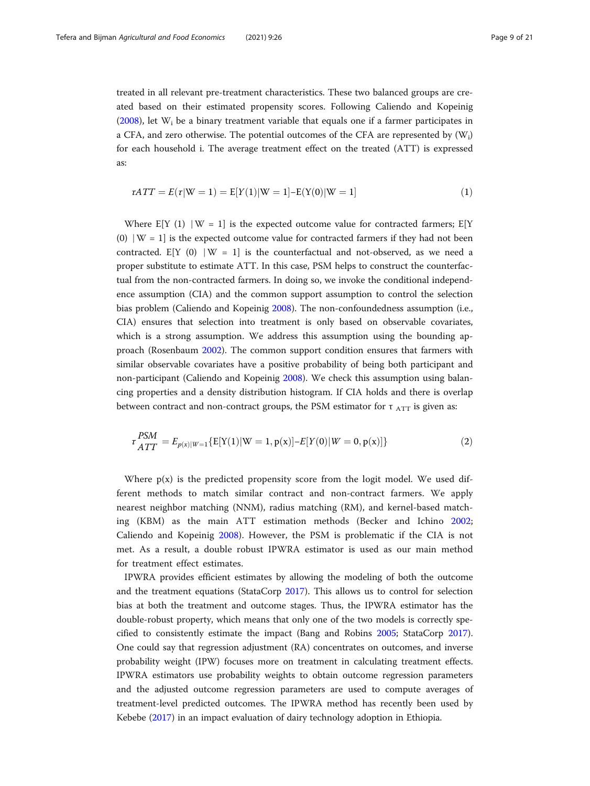treated in all relevant pre-treatment characteristics. These two balanced groups are created based on their estimated propensity scores. Following Caliendo and Kopeinig ([2008](#page-19-0)), let  $W_i$  be a binary treatment variable that equals one if a farmer participates in a CFA, and zero otherwise. The potential outcomes of the CFA are represented by  $(W_i)$ for each household i. The average treatment effect on the treated (ATT) is expressed as:

$$
\tau ATT = E(\tau|W = 1) = E[Y(1)|W = 1] - E(Y(0)|W = 1]
$$
\n(1)

Where  $E[Y (1) | W = 1]$  is the expected outcome value for contracted farmers;  $E[Y]$ (0) ∣W = 1] is the expected outcome value for contracted farmers if they had not been contracted. E[Y (0) |W = 1] is the counterfactual and not-observed, as we need a proper substitute to estimate ATT. In this case, PSM helps to construct the counterfactual from the non-contracted farmers. In doing so, we invoke the conditional independence assumption (CIA) and the common support assumption to control the selection bias problem (Caliendo and Kopeinig [2008](#page-19-0)). The non-confoundedness assumption (i.e., CIA) ensures that selection into treatment is only based on observable covariates, which is a strong assumption. We address this assumption using the bounding approach (Rosenbaum [2002\)](#page-20-0). The common support condition ensures that farmers with similar observable covariates have a positive probability of being both participant and non-participant (Caliendo and Kopeinig [2008](#page-19-0)). We check this assumption using balancing properties and a density distribution histogram. If CIA holds and there is overlap between contract and non-contract groups, the PSM estimator for  $\tau$   $_{\text{ATT}}$  is given as:

$$
\tau_{ATT}^{PSM} = E_{p(x)|W=1} \{ E[Y(1)|W=1, p(x)] - E[Y(0)|W=0, p(x)] \}
$$
 (2)

Where  $p(x)$  is the predicted propensity score from the logit model. We used different methods to match similar contract and non-contract farmers. We apply nearest neighbor matching (NNM), radius matching (RM), and kernel-based matching (KBM) as the main ATT estimation methods (Becker and Ichino [2002](#page-18-0); Caliendo and Kopeinig [2008](#page-19-0)). However, the PSM is problematic if the CIA is not met. As a result, a double robust IPWRA estimator is used as our main method for treatment effect estimates.

IPWRA provides efficient estimates by allowing the modeling of both the outcome and the treatment equations (StataCorp [2017\)](#page-20-0). This allows us to control for selection bias at both the treatment and outcome stages. Thus, the IPWRA estimator has the double-robust property, which means that only one of the two models is correctly specified to consistently estimate the impact (Bang and Robins [2005](#page-18-0); StataCorp [2017](#page-20-0)). One could say that regression adjustment (RA) concentrates on outcomes, and inverse probability weight (IPW) focuses more on treatment in calculating treatment effects. IPWRA estimators use probability weights to obtain outcome regression parameters and the adjusted outcome regression parameters are used to compute averages of treatment-level predicted outcomes. The IPWRA method has recently been used by Kebebe ([2017](#page-19-0)) in an impact evaluation of dairy technology adoption in Ethiopia.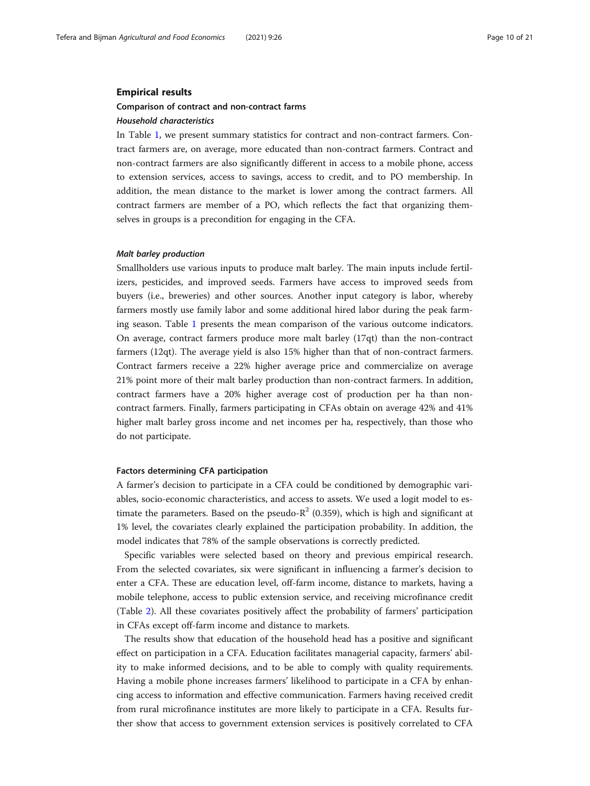# <span id="page-9-0"></span>Empirical results

# Comparison of contract and non-contract farms

# Household characteristics

In Table [1,](#page-7-0) we present summary statistics for contract and non-contract farmers. Contract farmers are, on average, more educated than non-contract farmers. Contract and non-contract farmers are also significantly different in access to a mobile phone, access to extension services, access to savings, access to credit, and to PO membership. In addition, the mean distance to the market is lower among the contract farmers. All contract farmers are member of a PO, which reflects the fact that organizing themselves in groups is a precondition for engaging in the CFA.

#### Malt barley production

Smallholders use various inputs to produce malt barley. The main inputs include fertilizers, pesticides, and improved seeds. Farmers have access to improved seeds from buyers (i.e., breweries) and other sources. Another input category is labor, whereby farmers mostly use family labor and some additional hired labor during the peak farming season. Table [1](#page-7-0) presents the mean comparison of the various outcome indicators. On average, contract farmers produce more malt barley (17qt) than the non-contract farmers (12qt). The average yield is also 15% higher than that of non-contract farmers. Contract farmers receive a 22% higher average price and commercialize on average 21% point more of their malt barley production than non-contract farmers. In addition, contract farmers have a 20% higher average cost of production per ha than noncontract farmers. Finally, farmers participating in CFAs obtain on average 42% and 41% higher malt barley gross income and net incomes per ha, respectively, than those who do not participate.

#### Factors determining CFA participation

A farmer's decision to participate in a CFA could be conditioned by demographic variables, socio-economic characteristics, and access to assets. We used a logit model to estimate the parameters. Based on the pseudo- $R^2$  (0.359), which is high and significant at 1% level, the covariates clearly explained the participation probability. In addition, the model indicates that 78% of the sample observations is correctly predicted.

Specific variables were selected based on theory and previous empirical research. From the selected covariates, six were significant in influencing a farmer's decision to enter a CFA. These are education level, off-farm income, distance to markets, having a mobile telephone, access to public extension service, and receiving microfinance credit (Table [2](#page-10-0)). All these covariates positively affect the probability of farmers' participation in CFAs except off-farm income and distance to markets.

The results show that education of the household head has a positive and significant effect on participation in a CFA. Education facilitates managerial capacity, farmers' ability to make informed decisions, and to be able to comply with quality requirements. Having a mobile phone increases farmers' likelihood to participate in a CFA by enhancing access to information and effective communication. Farmers having received credit from rural microfinance institutes are more likely to participate in a CFA. Results further show that access to government extension services is positively correlated to CFA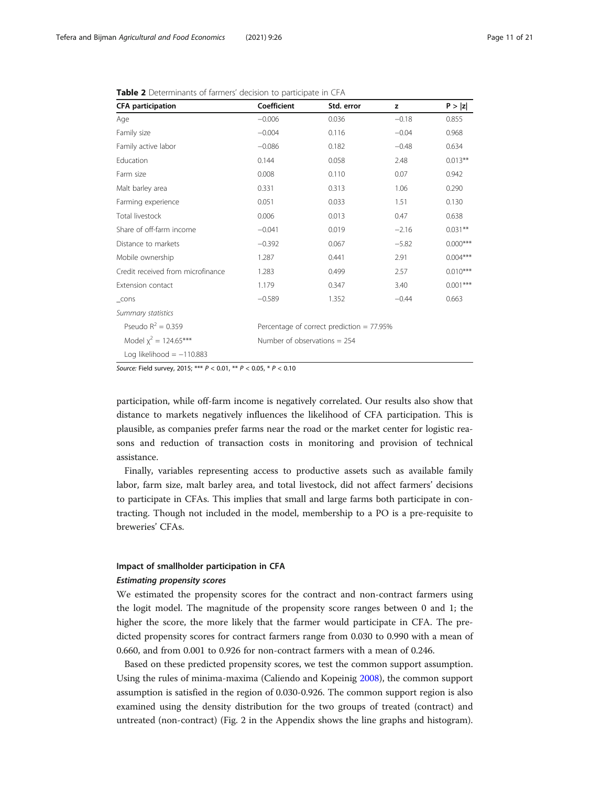| <b>CFA participation</b>          | Coefficient                    | Std. error                                   | z       | P >  z     |
|-----------------------------------|--------------------------------|----------------------------------------------|---------|------------|
| Age                               | $-0.006$                       | 0.036                                        | $-0.18$ | 0.855      |
| Family size                       | $-0.004$                       | 0.116                                        | $-0.04$ | 0.968      |
| Family active labor               | $-0.086$                       | 0.182                                        | $-0.48$ | 0.634      |
| Education                         | 0.144                          | 0.058                                        | 2.48    | $0.013***$ |
| Farm size                         | 0.008                          | 0.110                                        | 0.07    | 0.942      |
| Malt barley area                  | 0.331                          | 0.313                                        | 1.06    | 0.290      |
| Farming experience                | 0.051                          | 0.033                                        | 1.51    | 0.130      |
| Total livestock                   | 0.006                          | 0.013                                        | 0.47    | 0.638      |
| Share of off-farm income          | $-0.041$                       | 0.019                                        | $-2.16$ | $0.031***$ |
| Distance to markets               | $-0.392$                       | 0.067                                        | $-5.82$ | $0.000***$ |
| Mobile ownership                  | 1.287                          | 0.441                                        | 2.91    | $0.004***$ |
| Credit received from microfinance | 1.283                          | 0.499                                        | 2.57    | $0.010***$ |
| Extension contact                 | 1.179                          | 0.347                                        | 3.40    | $0.001***$ |
| $_{\text{-} \text{cons}}$         | $-0.589$                       | 1.352                                        | $-0.44$ | 0.663      |
| Summary statistics                |                                |                                              |         |            |
| Pseudo $R^2 = 0.359$              |                                | Percentage of correct prediction = $77.95\%$ |         |            |
| Model $\chi^2$ = 124.65***        | Number of observations $= 254$ |                                              |         |            |
| Log likelihood $= -110.883$       |                                |                                              |         |            |

<span id="page-10-0"></span>Table 2 Determinants of farmers' decision to participate in CFA

Source: Field survey, 2015; \*\*\* P < 0.01, \*\* P < 0.05, \* P < 0.10

participation, while off-farm income is negatively correlated. Our results also show that distance to markets negatively influences the likelihood of CFA participation. This is plausible, as companies prefer farms near the road or the market center for logistic reasons and reduction of transaction costs in monitoring and provision of technical assistance.

Finally, variables representing access to productive assets such as available family labor, farm size, malt barley area, and total livestock, did not affect farmers' decisions to participate in CFAs. This implies that small and large farms both participate in contracting. Though not included in the model, membership to a PO is a pre-requisite to breweries' CFAs.

# Impact of smallholder participation in CFA

# Estimating propensity scores

We estimated the propensity scores for the contract and non-contract farmers using the logit model. The magnitude of the propensity score ranges between 0 and 1; the higher the score, the more likely that the farmer would participate in CFA. The predicted propensity scores for contract farmers range from 0.030 to 0.990 with a mean of 0.660, and from 0.001 to 0.926 for non-contract farmers with a mean of 0.246.

Based on these predicted propensity scores, we test the common support assumption. Using the rules of minima-maxima (Caliendo and Kopeinig [2008\)](#page-19-0), the common support assumption is satisfied in the region of 0.030-0.926. The common support region is also examined using the density distribution for the two groups of treated (contract) and untreated (non-contract) (Fig. 2 in the Appendix shows the line graphs and histogram).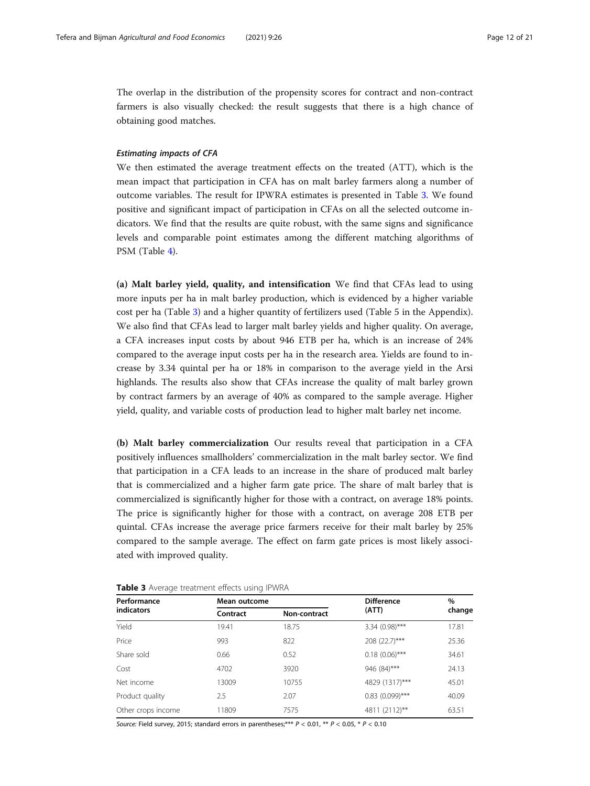<span id="page-11-0"></span>The overlap in the distribution of the propensity scores for contract and non-contract farmers is also visually checked: the result suggests that there is a high chance of obtaining good matches.

# Estimating impacts of CFA

We then estimated the average treatment effects on the treated (ATT), which is the mean impact that participation in CFA has on malt barley farmers along a number of outcome variables. The result for IPWRA estimates is presented in Table 3. We found positive and significant impact of participation in CFAs on all the selected outcome indicators. We find that the results are quite robust, with the same signs and significance levels and comparable point estimates among the different matching algorithms of PSM (Table [4](#page-12-0)).

(a) Malt barley yield, quality, and intensification We find that CFAs lead to using more inputs per ha in malt barley production, which is evidenced by a higher variable cost per ha (Table 3) and a higher quantity of fertilizers used (Table 5 in the Appendix). We also find that CFAs lead to larger malt barley yields and higher quality. On average, a CFA increases input costs by about 946 ETB per ha, which is an increase of 24% compared to the average input costs per ha in the research area. Yields are found to increase by 3.34 quintal per ha or 18% in comparison to the average yield in the Arsi highlands. The results also show that CFAs increase the quality of malt barley grown by contract farmers by an average of 40% as compared to the sample average. Higher yield, quality, and variable costs of production lead to higher malt barley net income.

(b) Malt barley commercialization Our results reveal that participation in a CFA positively influences smallholders' commercialization in the malt barley sector. We find that participation in a CFA leads to an increase in the share of produced malt barley that is commercialized and a higher farm gate price. The share of malt barley that is commercialized is significantly higher for those with a contract, on average 18% points. The price is significantly higher for those with a contract, on average 208 ETB per quintal. CFAs increase the average price farmers receive for their malt barley by 25% compared to the sample average. The effect on farm gate prices is most likely associated with improved quality.

| Performance        | Mean outcome |              | <b>Difference</b> | $\%$   |  |
|--------------------|--------------|--------------|-------------------|--------|--|
| <b>indicators</b>  | Contract     | Non-contract | (ATT)             | change |  |
| Yield              | 19.41        | 18.75        | 3.34 (0.98)***    | 17.81  |  |
| Price              | 993          | 822          | 208 (22.7)***     | 25.36  |  |
| Share sold         | 0.66         | 0.52         | $0.18(0.06)$ ***  | 34.61  |  |
| Cost               | 4702         | 3920         | 946 (84)***       | 24.13  |  |
| Net income         | 13009        | 10755        | 4829 (1317)***    | 45.01  |  |
| Product quality    | 2.5          | 2.07         | $0.83$ (0.099)*** | 40.09  |  |
| Other crops income | 11809        | 7575         | 4811 (2112)**     | 63.51  |  |

Table 3 Average treatment effects using IPWRA

Source: Field survey, 2015; standard errors in parentheses; \*\*\*  $P < 0.01$ , \*\*  $P < 0.05$ , \*  $P < 0.10$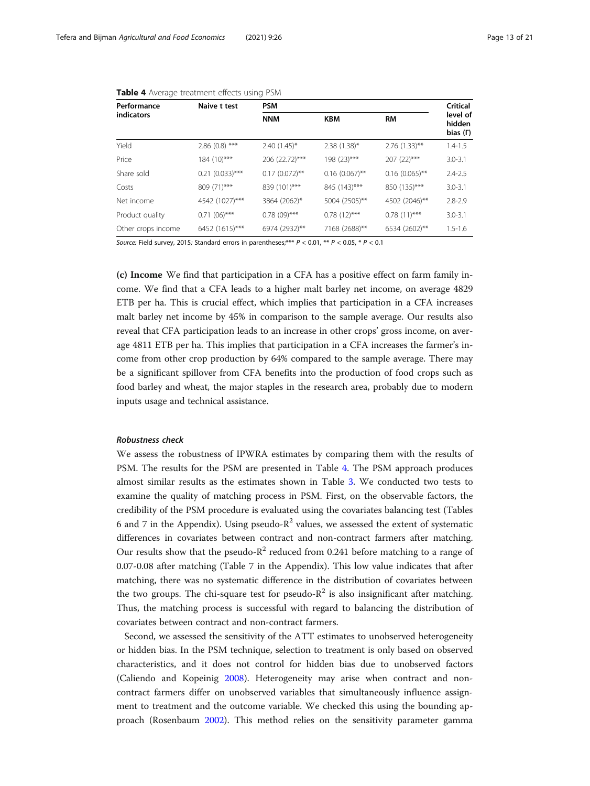| Performance<br>indicators | Naive t test       | <b>PSM</b>          | Critical         |                  |                                |
|---------------------------|--------------------|---------------------|------------------|------------------|--------------------------------|
|                           |                    | <b>NNM</b>          | <b>KBM</b>       | <b>RM</b>        | level of<br>hidden<br>bias (F) |
| Yield                     | $2.86(0.8)$ ***    | $2.40(1.45)^{*}$    | $2.38(1.38)^*$   | $2.76(1.33)$ **  | $1.4 - 1.5$                    |
| Price                     | 184 (10)***        | 206 (22.72)***      | 198 (23)***      | 207 (22)***      | $3.0 - 3.1$                    |
| Share sold                | $0.21 (0.033)$ *** | $0.17$ $(0.072)$ ** | $0.16$ (0.067)** | $0.16$ (0.065)** | $2.4 - 2.5$                    |
| Costs                     | 809 (71)***        | 839 (101)***        | 845 (143)***     | 850 (135)***     | $3.0 - 3.1$                    |
| Net income                | 4542 (1027)***     | 3864 (2062)*        | 5004 (2505)**    | 4502 (2046)**    | $2.8 - 2.9$                    |
| Product quality           | $0.71(06)$ ***     | $0.78(09)$ ***      | $0.78(12)$ ***   | $0.78(11)$ ***   | $3.0 - 3.1$                    |
| Other crops income        | 6452 (1615)***     | 6974 (2932)**       | 7168 (2688)**    | 6534 (2602)**    | $1.5 - 1.6$                    |

<span id="page-12-0"></span>

| Table 4 Average treatment effects using PSM |  |  |  |  |  |
|---------------------------------------------|--|--|--|--|--|
|---------------------------------------------|--|--|--|--|--|

Source: Field survey, 2015; Standard errors in parentheses; \*\*\*  $P < 0.01$ , \*\*  $P < 0.05$ , \*  $P < 0.1$ 

(c) Income We find that participation in a CFA has a positive effect on farm family income. We find that a CFA leads to a higher malt barley net income, on average 4829 ETB per ha. This is crucial effect, which implies that participation in a CFA increases malt barley net income by 45% in comparison to the sample average. Our results also reveal that CFA participation leads to an increase in other crops' gross income, on average 4811 ETB per ha. This implies that participation in a CFA increases the farmer's income from other crop production by 64% compared to the sample average. There may be a significant spillover from CFA benefits into the production of food crops such as food barley and wheat, the major staples in the research area, probably due to modern inputs usage and technical assistance.

# Robustness check

We assess the robustness of IPWRA estimates by comparing them with the results of PSM. The results for the PSM are presented in Table 4. The PSM approach produces almost similar results as the estimates shown in Table [3.](#page-11-0) We conducted two tests to examine the quality of matching process in PSM. First, on the observable factors, the credibility of the PSM procedure is evaluated using the covariates balancing test (Tables 6 and 7 in the Appendix). Using pseudo- $R^2$  values, we assessed the extent of systematic differences in covariates between contract and non-contract farmers after matching. Our results show that the pseudo- $R^2$  reduced from 0.241 before matching to a range of 0.07-0.08 after matching (Table 7 in the Appendix). This low value indicates that after matching, there was no systematic difference in the distribution of covariates between the two groups. The chi-square test for pseudo- $R^2$  is also insignificant after matching. Thus, the matching process is successful with regard to balancing the distribution of covariates between contract and non-contract farmers.

Second, we assessed the sensitivity of the ATT estimates to unobserved heterogeneity or hidden bias. In the PSM technique, selection to treatment is only based on observed characteristics, and it does not control for hidden bias due to unobserved factors (Caliendo and Kopeinig [2008](#page-19-0)). Heterogeneity may arise when contract and noncontract farmers differ on unobserved variables that simultaneously influence assignment to treatment and the outcome variable. We checked this using the bounding approach (Rosenbaum [2002](#page-20-0)). This method relies on the sensitivity parameter gamma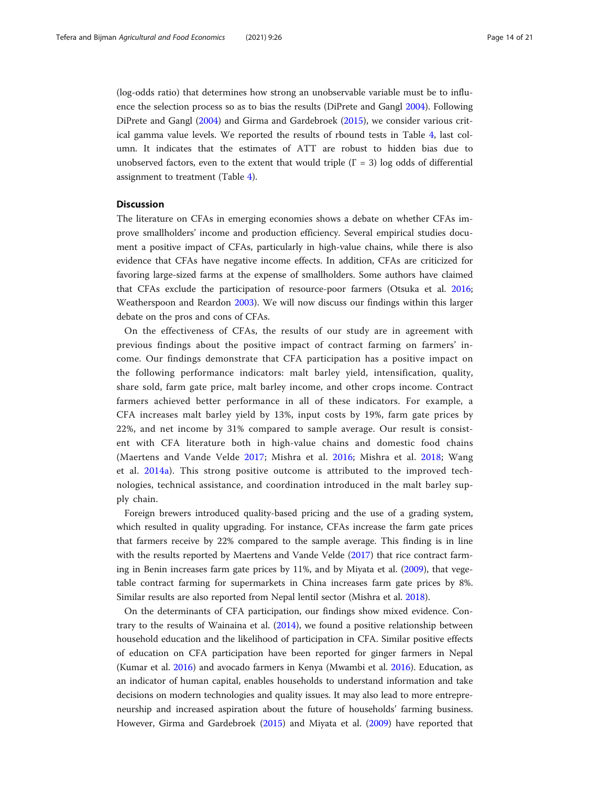<span id="page-13-0"></span>(log-odds ratio) that determines how strong an unobservable variable must be to influence the selection process so as to bias the results (DiPrete and Gangl [2004](#page-19-0)). Following DiPrete and Gangl ([2004](#page-19-0)) and Girma and Gardebroek [\(2015\)](#page-19-0), we consider various critical gamma value levels. We reported the results of rbound tests in Table [4](#page-12-0), last column. It indicates that the estimates of ATT are robust to hidden bias due to unobserved factors, even to the extent that would triple  $(\Gamma = 3)$  log odds of differential assignment to treatment (Table [4\)](#page-12-0).

# **Discussion**

The literature on CFAs in emerging economies shows a debate on whether CFAs improve smallholders' income and production efficiency. Several empirical studies document a positive impact of CFAs, particularly in high-value chains, while there is also evidence that CFAs have negative income effects. In addition, CFAs are criticized for favoring large-sized farms at the expense of smallholders. Some authors have claimed that CFAs exclude the participation of resource-poor farmers (Otsuka et al. [2016](#page-19-0); Weatherspoon and Reardon [2003](#page-20-0)). We will now discuss our findings within this larger debate on the pros and cons of CFAs.

On the effectiveness of CFAs, the results of our study are in agreement with previous findings about the positive impact of contract farming on farmers' income. Our findings demonstrate that CFA participation has a positive impact on the following performance indicators: malt barley yield, intensification, quality, share sold, farm gate price, malt barley income, and other crops income. Contract farmers achieved better performance in all of these indicators. For example, a CFA increases malt barley yield by 13%, input costs by 19%, farm gate prices by 22%, and net income by 31% compared to sample average. Our result is consistent with CFA literature both in high-value chains and domestic food chains (Maertens and Vande Velde [2017](#page-19-0); Mishra et al. [2016](#page-19-0); Mishra et al. [2018;](#page-19-0) Wang et al. [2014a\)](#page-20-0). This strong positive outcome is attributed to the improved technologies, technical assistance, and coordination introduced in the malt barley supply chain.

Foreign brewers introduced quality-based pricing and the use of a grading system, which resulted in quality upgrading. For instance, CFAs increase the farm gate prices that farmers receive by 22% compared to the sample average. This finding is in line with the results reported by Maertens and Vande Velde [\(2017](#page-19-0)) that rice contract farming in Benin increases farm gate prices by 11%, and by Miyata et al. [\(2009\)](#page-19-0), that vegetable contract farming for supermarkets in China increases farm gate prices by 8%. Similar results are also reported from Nepal lentil sector (Mishra et al. [2018](#page-19-0)).

On the determinants of CFA participation, our findings show mixed evidence. Contrary to the results of Wainaina et al. [\(2014\)](#page-20-0), we found a positive relationship between household education and the likelihood of participation in CFA. Similar positive effects of education on CFA participation have been reported for ginger farmers in Nepal (Kumar et al. [2016\)](#page-19-0) and avocado farmers in Kenya (Mwambi et al. [2016\)](#page-19-0). Education, as an indicator of human capital, enables households to understand information and take decisions on modern technologies and quality issues. It may also lead to more entrepreneurship and increased aspiration about the future of households' farming business. However, Girma and Gardebroek ([2015](#page-19-0)) and Miyata et al. ([2009](#page-19-0)) have reported that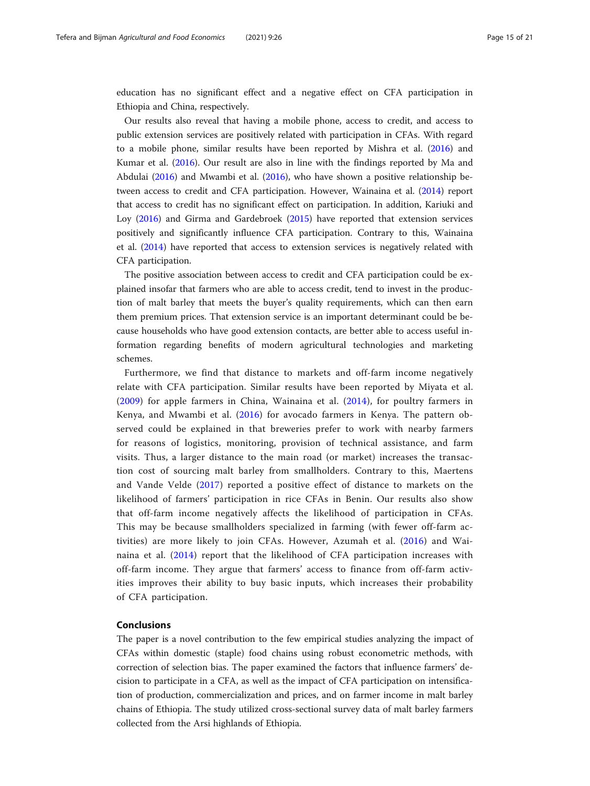<span id="page-14-0"></span>education has no significant effect and a negative effect on CFA participation in Ethiopia and China, respectively.

Our results also reveal that having a mobile phone, access to credit, and access to public extension services are positively related with participation in CFAs. With regard to a mobile phone, similar results have been reported by Mishra et al. ([2016\)](#page-19-0) and Kumar et al. ([2016](#page-19-0)). Our result are also in line with the findings reported by Ma and Abdulai [\(2016](#page-19-0)) and Mwambi et al. [\(2016\)](#page-19-0), who have shown a positive relationship between access to credit and CFA participation. However, Wainaina et al. ([2014](#page-20-0)) report that access to credit has no significant effect on participation. In addition, Kariuki and Loy [\(2016\)](#page-19-0) and Girma and Gardebroek ([2015](#page-19-0)) have reported that extension services positively and significantly influence CFA participation. Contrary to this, Wainaina et al. [\(2014\)](#page-20-0) have reported that access to extension services is negatively related with CFA participation.

The positive association between access to credit and CFA participation could be explained insofar that farmers who are able to access credit, tend to invest in the production of malt barley that meets the buyer's quality requirements, which can then earn them premium prices. That extension service is an important determinant could be because households who have good extension contacts, are better able to access useful information regarding benefits of modern agricultural technologies and marketing schemes.

Furthermore, we find that distance to markets and off-farm income negatively relate with CFA participation. Similar results have been reported by Miyata et al. ([2009](#page-19-0)) for apple farmers in China, Wainaina et al. ([2014](#page-20-0)), for poultry farmers in Kenya, and Mwambi et al. ([2016](#page-19-0)) for avocado farmers in Kenya. The pattern observed could be explained in that breweries prefer to work with nearby farmers for reasons of logistics, monitoring, provision of technical assistance, and farm visits. Thus, a larger distance to the main road (or market) increases the transaction cost of sourcing malt barley from smallholders. Contrary to this, Maertens and Vande Velde ([2017](#page-19-0)) reported a positive effect of distance to markets on the likelihood of farmers' participation in rice CFAs in Benin. Our results also show that off-farm income negatively affects the likelihood of participation in CFAs. This may be because smallholders specialized in farming (with fewer off-farm activities) are more likely to join CFAs. However, Azumah et al. ([2016\)](#page-18-0) and Wainaina et al. [\(2014\)](#page-20-0) report that the likelihood of CFA participation increases with off-farm income. They argue that farmers' access to finance from off-farm activities improves their ability to buy basic inputs, which increases their probability of CFA participation.

# Conclusions

The paper is a novel contribution to the few empirical studies analyzing the impact of CFAs within domestic (staple) food chains using robust econometric methods, with correction of selection bias. The paper examined the factors that influence farmers' decision to participate in a CFA, as well as the impact of CFA participation on intensification of production, commercialization and prices, and on farmer income in malt barley chains of Ethiopia. The study utilized cross-sectional survey data of malt barley farmers collected from the Arsi highlands of Ethiopia.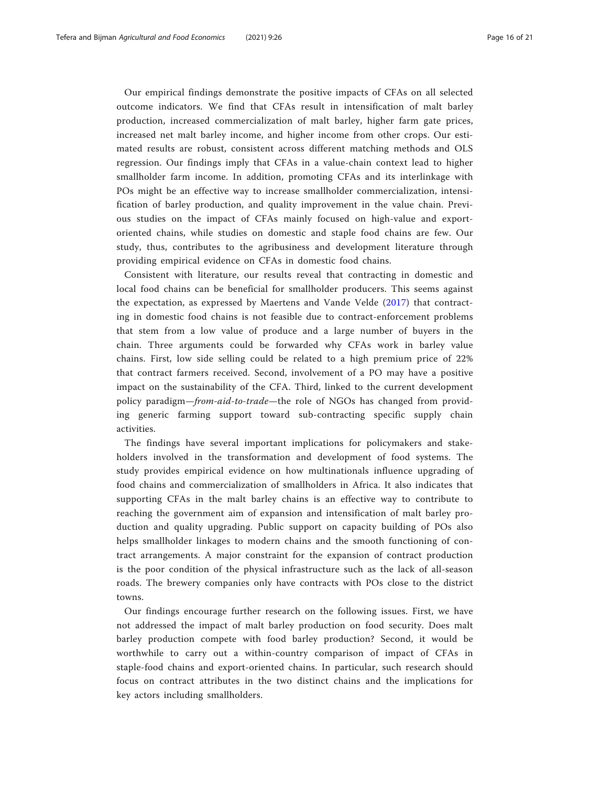Our empirical findings demonstrate the positive impacts of CFAs on all selected outcome indicators. We find that CFAs result in intensification of malt barley production, increased commercialization of malt barley, higher farm gate prices, increased net malt barley income, and higher income from other crops. Our estimated results are robust, consistent across different matching methods and OLS regression. Our findings imply that CFAs in a value-chain context lead to higher smallholder farm income. In addition, promoting CFAs and its interlinkage with POs might be an effective way to increase smallholder commercialization, intensification of barley production, and quality improvement in the value chain. Previous studies on the impact of CFAs mainly focused on high-value and exportoriented chains, while studies on domestic and staple food chains are few. Our study, thus, contributes to the agribusiness and development literature through providing empirical evidence on CFAs in domestic food chains.

Consistent with literature, our results reveal that contracting in domestic and local food chains can be beneficial for smallholder producers. This seems against the expectation, as expressed by Maertens and Vande Velde ([2017](#page-19-0)) that contracting in domestic food chains is not feasible due to contract-enforcement problems that stem from a low value of produce and a large number of buyers in the chain. Three arguments could be forwarded why CFAs work in barley value chains. First, low side selling could be related to a high premium price of 22% that contract farmers received. Second, involvement of a PO may have a positive impact on the sustainability of the CFA. Third, linked to the current development policy paradigm—from-aid-to-trade—the role of NGOs has changed from providing generic farming support toward sub-contracting specific supply chain activities.

The findings have several important implications for policymakers and stakeholders involved in the transformation and development of food systems. The study provides empirical evidence on how multinationals influence upgrading of food chains and commercialization of smallholders in Africa. It also indicates that supporting CFAs in the malt barley chains is an effective way to contribute to reaching the government aim of expansion and intensification of malt barley production and quality upgrading. Public support on capacity building of POs also helps smallholder linkages to modern chains and the smooth functioning of contract arrangements. A major constraint for the expansion of contract production is the poor condition of the physical infrastructure such as the lack of all-season roads. The brewery companies only have contracts with POs close to the district towns.

Our findings encourage further research on the following issues. First, we have not addressed the impact of malt barley production on food security. Does malt barley production compete with food barley production? Second, it would be worthwhile to carry out a within-country comparison of impact of CFAs in staple-food chains and export-oriented chains. In particular, such research should focus on contract attributes in the two distinct chains and the implications for key actors including smallholders.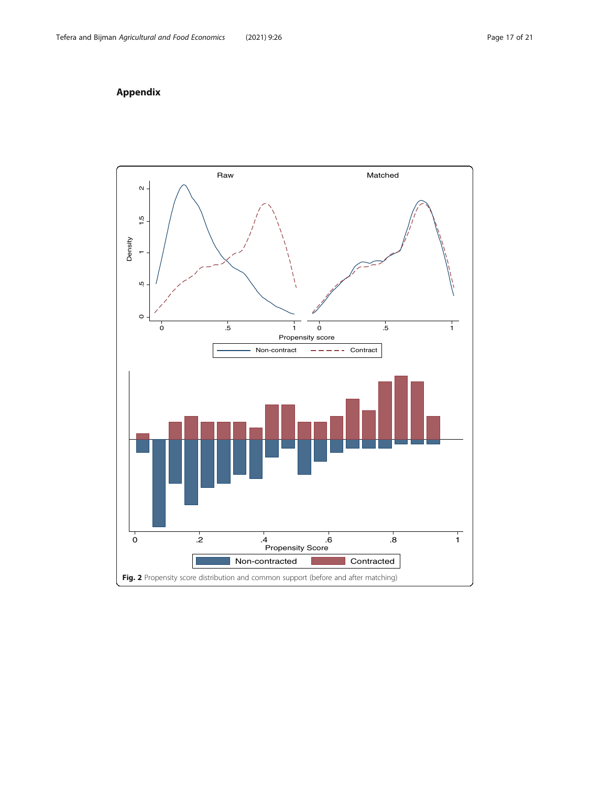# Appendix

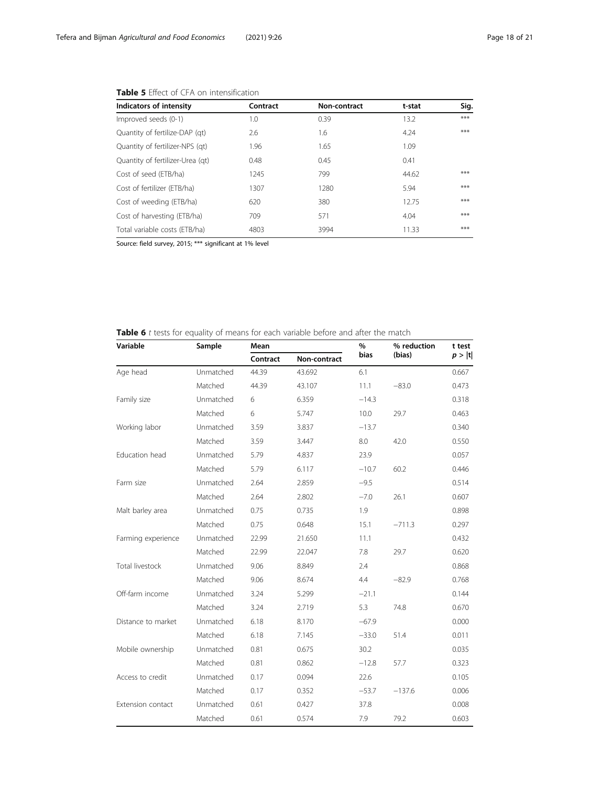| Indicators of intensity          | Contract | Non-contract | t-stat | Sig.  |
|----------------------------------|----------|--------------|--------|-------|
| Improved seeds (0-1)             | 1.0      | 0.39         | 13.2   | $***$ |
| Quantity of fertilize-DAP (qt)   | 2.6      | 1.6          | 4.24   | $***$ |
| Quantity of fertilizer-NPS (qt)  | 1.96     | 1.65         | 1.09   |       |
| Quantity of fertilizer-Urea (qt) | 0.48     | 0.45         | 0.41   |       |
| Cost of seed (ETB/ha)            | 1245     | 799          | 44.62  | $***$ |
| Cost of fertilizer (ETB/ha)      | 1307     | 1280         | 5.94   | $***$ |
| Cost of weeding (ETB/ha)         | 620      | 380          | 12.75  | $***$ |
| Cost of harvesting (ETB/ha)      | 709      | 571          | 4.04   | $***$ |
| Total variable costs (ETB/ha)    | 4803     | 3994         | 11.33  | $***$ |

# Table 5 Effect of CFA on intensification

Source: field survey, 2015; \*\*\* significant at 1% level

Table 6 t tests for equality of means for each variable before and after the match

| Variable           | Sample    | Mean     |              | %       | % reduction | t test |
|--------------------|-----------|----------|--------------|---------|-------------|--------|
|                    |           | Contract | Non-contract | bias    | (bias)      | p> t   |
| Age head           | Unmatched | 44.39    | 43.692       | 6.1     |             | 0.667  |
|                    | Matched   | 44.39    | 43.107       | 11.1    | $-83.0$     | 0.473  |
| Family size        | Unmatched | 6        | 6.359        | $-14.3$ |             | 0.318  |
|                    | Matched   | 6        | 5.747        | 10.0    | 29.7        | 0.463  |
| Working labor      | Unmatched | 3.59     | 3.837        | $-13.7$ |             | 0.340  |
|                    | Matched   | 3.59     | 3.447        | 8.0     | 42.0        | 0.550  |
| Education head     | Unmatched | 5.79     | 4.837        | 23.9    |             | 0.057  |
|                    | Matched   | 5.79     | 6.117        | $-10.7$ | 60.2        | 0.446  |
| Farm size          | Unmatched | 2.64     | 2.859        | $-9.5$  |             | 0.514  |
|                    | Matched   | 2.64     | 2.802        | $-7.0$  | 26.1        | 0.607  |
| Malt barley area   | Unmatched | 0.75     | 0.735        | 1.9     |             | 0.898  |
|                    | Matched   | 0.75     | 0.648        | 15.1    | $-711.3$    | 0.297  |
| Farming experience | Unmatched | 22.99    | 21.650       | 11.1    |             | 0.432  |
|                    | Matched   | 22.99    | 22.047       | 7.8     | 29.7        | 0.620  |
| Total livestock    | Unmatched | 9.06     | 8.849        | 2.4     |             | 0.868  |
|                    | Matched   | 9.06     | 8.674        | 4.4     | $-82.9$     | 0.768  |
| Off-farm income    | Unmatched | 3.24     | 5.299        | $-21.1$ |             | 0.144  |
|                    | Matched   | 3.24     | 2.719        | 5.3     | 74.8        | 0.670  |
| Distance to market | Unmatched | 6.18     | 8.170        | $-67.9$ |             | 0.000  |
|                    | Matched   | 6.18     | 7.145        | $-33.0$ | 51.4        | 0.011  |
| Mobile ownership   | Unmatched | 0.81     | 0.675        | 30.2    |             | 0.035  |
|                    | Matched   | 0.81     | 0.862        | $-12.8$ | 57.7        | 0.323  |
| Access to credit   | Unmatched | 0.17     | 0.094        | 22.6    |             | 0.105  |
|                    | Matched   | 0.17     | 0.352        | $-53.7$ | $-137.6$    | 0.006  |
| Extension contact  | Unmatched | 0.61     | 0.427        | 37.8    |             | 0.008  |
|                    | Matched   | 0.61     | 0.574        | 7.9     | 79.2        | 0.603  |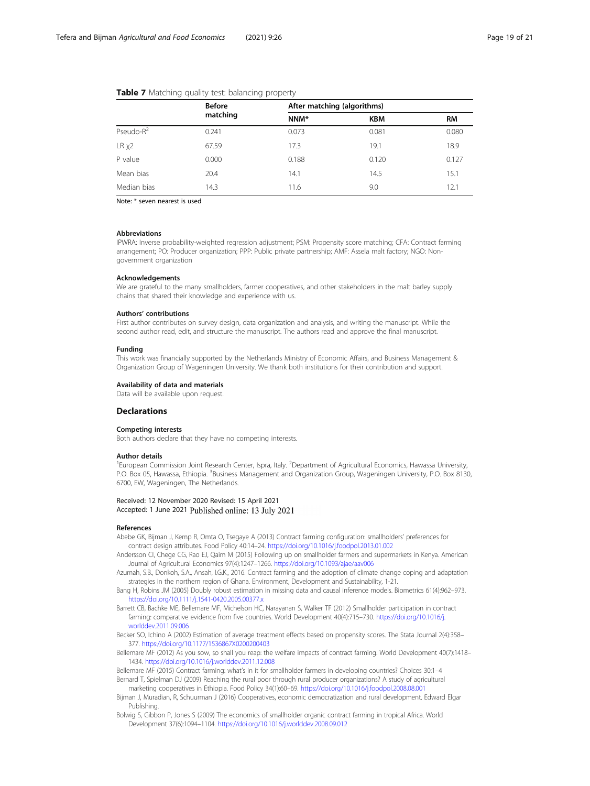|                  | <b>Before</b><br>matching | After matching (algorithms) |            |           |  |
|------------------|---------------------------|-----------------------------|------------|-----------|--|
|                  |                           | NNM*                        | <b>KBM</b> | <b>RM</b> |  |
| Pseudo- $R^2$    | 0.241                     | 0.073                       | 0.081      | 0.080     |  |
| LR <sub>X2</sub> | 67.59                     | 17.3                        | 19.1       | 18.9      |  |
| P value          | 0.000                     | 0.188                       | 0.120      | 0.127     |  |
| Mean bias        | 20.4                      | 14.1                        | 14.5       | 15.1      |  |
| Median bias      | 14.3                      | 11.6                        | 9.0        | 12.1      |  |

#### <span id="page-18-0"></span>Table 7 Matching quality test: balancing property

Note: \* seven nearest is used

#### Abbreviations

IPWRA: Inverse probability-weighted regression adjustment; PSM: Propensity score matching; CFA: Contract farming arrangement; PO: Producer organization; PPP: Public private partnership; AMF: Assela malt factory; NGO: Nongovernment organization

#### Acknowledgements

We are grateful to the many smallholders, farmer cooperatives, and other stakeholders in the malt barley supply chains that shared their knowledge and experience with us.

#### Authors' contributions

First author contributes on survey design, data organization and analysis, and writing the manuscript. While the second author read, edit, and structure the manuscript. The authors read and approve the final manuscript.

#### Funding

This work was financially supported by the Netherlands Ministry of Economic Affairs, and Business Management & Organization Group of Wageningen University. We thank both institutions for their contribution and support.

#### Availability of data and materials

Data will be available upon request.

# Declarations

#### Competing interests

Both authors declare that they have no competing interests.

#### Author details

<sup>1</sup>European Commission Joint Research Center, Ispra, Italy. <sup>2</sup>Department of Agricultural Economics, Hawassa University, P.O. Box 05, Hawassa, Ethiopia. <sup>3</sup>Business Management and Organization Group, Wageningen University, P.O. Box 8130, 6700, EW, Wageningen, The Netherlands.

# Received: 12 November 2020 Revised: 15 April 2021 Accepted: 1 June 2021 Published online: 13 July 2021

#### References

- Abebe GK, Bijman J, Kemp R, Omta O, Tsegaye A (2013) Contract farming configuration: smallholders' preferences for contract design attributes. Food Policy 40:14–24. <https://doi.org/10.1016/j.foodpol.2013.01.002>
- Andersson CI, Chege CG, Rao EJ, Qaim M (2015) Following up on smallholder farmers and supermarkets in Kenya. American Journal of Agricultural Economics 97(4):1247–1266. <https://doi.org/10.1093/ajae/aav006>
- Azumah, S.B., Donkoh, S.A., Ansah, I.G.K., 2016. Contract farming and the adoption of climate change coping and adaptation strategies in the northern region of Ghana. Environment, Development and Sustainability, 1-21.
- Bang H, Robins JM (2005) Doubly robust estimation in missing data and causal inference models. Biometrics 61(4):962–973. <https://doi.org/10.1111/j.1541-0420.2005.00377.x>
- Barrett CB, Bachke ME, Bellemare MF, Michelson HC, Narayanan S, Walker TF (2012) Smallholder participation in contract farming: comparative evidence from five countries. World Development 40(4):715–730. [https://doi.org/10.1016/j.](https://doi.org/10.1016/j.worlddev.2011.09.006) [worlddev.2011.09.006](https://doi.org/10.1016/j.worlddev.2011.09.006)
- Becker SO, Ichino A (2002) Estimation of average treatment effects based on propensity scores. The Stata Journal 2(4):358– 377. <https://doi.org/10.1177/1536867X0200200403>
- Bellemare MF (2012) As you sow, so shall you reap: the welfare impacts of contract farming. World Development 40(7):1418– 1434. <https://doi.org/10.1016/j.worlddev.2011.12.008>
- Bellemare MF (2015) Contract farming: what's in it for smallholder farmers in developing countries? Choices 30:1–4 Bernard T, Spielman DJ (2009) Reaching the rural poor through rural producer organizations? A study of agricultural marketing cooperatives in Ethiopia. Food Policy 34(1):60–69. <https://doi.org/10.1016/j.foodpol.2008.08.001>
- Bijman J, Muradian, R, Schuurman J (2016) Cooperatives, economic democratization and rural development. Edward Elgar Publishing.
- Bolwig S, Gibbon P, Jones S (2009) The economics of smallholder organic contract farming in tropical Africa. World Development 37(6):1094–1104. <https://doi.org/10.1016/j.worlddev.2008.09.012>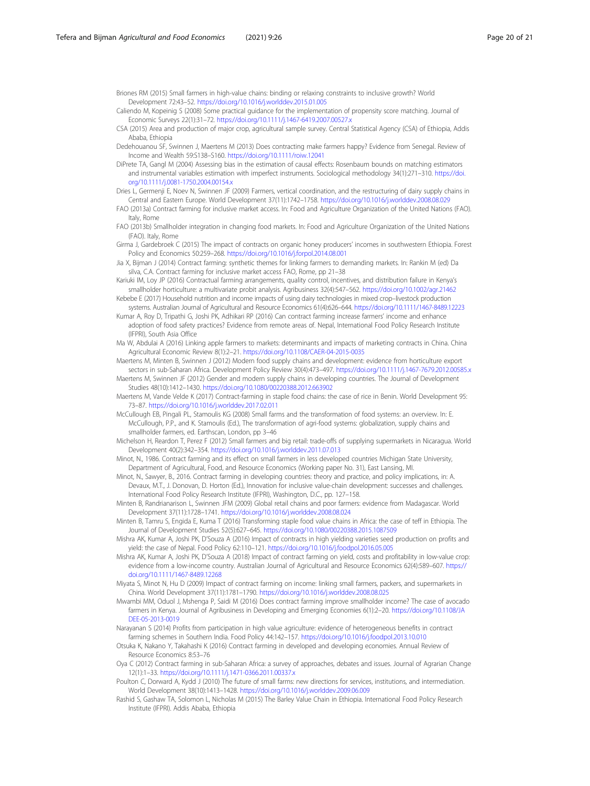<span id="page-19-0"></span>Briones RM (2015) Small farmers in high-value chains: binding or relaxing constraints to inclusive growth? World Development 72:43–52. <https://doi.org/10.1016/j.worlddev.2015.01.005>

- Caliendo M, Kopeinig S (2008) Some practical guidance for the implementation of propensity score matching. Journal of Economic Surveys 22(1):31-72. <https://doi.org/10.1111/j.1467-6419.2007.00527.x>
- CSA (2015) Area and production of major crop, agricultural sample survey. Central Statistical Agency (CSA) of Ethiopia, Addis Ababa, Ethiopia
- Dedehouanou SF, Swinnen J, Maertens M (2013) Does contracting make farmers happy? Evidence from Senegal. Review of Income and Wealth 59:S138–S160. <https://doi.org/10.1111/roiw.12041>
- DiPrete TA, Gangl M (2004) Assessing bias in the estimation of causal effects: Rosenbaum bounds on matching estimators and instrumental variables estimation with imperfect instruments. Sociological methodology 34(1):271–310. [https://doi.](https://doi.org/10.1111/j.0081-1750.2004.00154.x) [org/10.1111/j.0081-1750.2004.00154.x](https://doi.org/10.1111/j.0081-1750.2004.00154.x)
- Dries L, Germenji E, Noev N, Swinnen JF (2009) Farmers, vertical coordination, and the restructuring of dairy supply chains in Central and Eastern Europe. World Development 37(11):1742–1758. <https://doi.org/10.1016/j.worlddev.2008.08.029>
- FAO (2013a) Contract farming for inclusive market access. In: Food and Agriculture Organization of the United Nations (FAO). Italy, Rome
- FAO (2013b) Smallholder integration in changing food markets. In: Food and Agriculture Organization of the United Nations (FAO). Italy, Rome
- Girma J, Gardebroek C (2015) The impact of contracts on organic honey producers' incomes in southwestern Ethiopia. Forest Policy and Economics 50:259–268. <https://doi.org/10.1016/j.forpol.2014.08.001>
- Jia X, Bijman J (2014) Contract farming: synthetic themes for linking farmers to demanding markets. In: Rankin M (ed) Da silva, C.A. Contract farming for inclusive market access FAO, Rome, pp 21–38
- Kariuki IM, Loy JP (2016) Contractual farming arrangements, quality control, incentives, and distribution failure in Kenya's smallholder horticulture: a multivariate probit analysis. Agribusiness 32(4):547–562. <https://doi.org/10.1002/agr.21462>
- Kebebe E (2017) Household nutrition and income impacts of using dairy technologies in mixed crop–livestock production systems. Australian Journal of Agricultural and Resource Economics 61(4):626–644. <https://doi.org/10.1111/1467-8489.12223>
- Kumar A, Roy D, Tripathi G, Joshi PK, Adhikari RP (2016) Can contract farming increase farmers' income and enhance adoption of food safety practices? Evidence from remote areas of. Nepal, International Food Policy Research Institute (IFPRI), South Asia Office
- Ma W, Abdulai A (2016) Linking apple farmers to markets: determinants and impacts of marketing contracts in China. China Agricultural Economic Review 8(1):2–21. <https://doi.org/10.1108/CAER-04-2015-0035>
- Maertens M, Minten B, Swinnen J (2012) Modern food supply chains and development: evidence from horticulture export sectors in sub-Saharan Africa. Development Policy Review 30(4):473–497. <https://doi.org/10.1111/j.1467-7679.2012.00585.x>
- Maertens M, Swinnen JF (2012) Gender and modern supply chains in developing countries. The Journal of Development Studies 48(10):1412–1430. <https://doi.org/10.1080/00220388.2012.663902>
- Maertens M, Vande Velde K (2017) Contract-farming in staple food chains: the case of rice in Benin. World Development 95: 73–87. <https://doi.org/10.1016/j.worlddev.2017.02.011>
- McCullough EB, Pingali PL, Stamoulis KG (2008) Small farms and the transformation of food systems: an overview. In: E. McCullough, P.P., and K. Stamoulis (Ed.), The transformation of agri-food systems: globalization, supply chains and smallholder farmers, ed. Earthscan, London, pp 3–46
- Michelson H, Reardon T, Perez F (2012) Small farmers and big retail: trade-offs of supplying supermarkets in Nicaragua. World Development 40(2):342–354. <https://doi.org/10.1016/j.worlddev.2011.07.013>
- Minot, N., 1986. Contract farming and its effect on small farmers in less developed countries Michigan State University, Department of Agricultural, Food, and Resource Economics (Working paper No. 31), East Lansing, MI.
- Minot, N., Sawyer, B., 2016. Contract farming in developing countries: theory and practice, and policy implications, in: A. Devaux, M.T., J. Donovan, D. Horton (Ed.), Innovation for inclusive value-chain development: successes and challenges. International Food Policy Research Institute (IFPRI), Washington, D.C., pp. 127–158.
- Minten B, Randrianarison L, Swinnen JFM (2009) Global retail chains and poor farmers: evidence from Madagascar. World Development 37(11):1728–1741. <https://doi.org/10.1016/j.worlddev.2008.08.024>
- Minten B, Tamru S, Engida E, Kuma T (2016) Transforming staple food value chains in Africa: the case of teff in Ethiopia. The Journal of Development Studies 52(5):627–645. <https://doi.org/10.1080/00220388.2015.1087509>
- Mishra AK, Kumar A, Joshi PK, D'Souza A (2016) Impact of contracts in high yielding varieties seed production on profits and yield: the case of Nepal. Food Policy 62:110–121. <https://doi.org/10.1016/j.foodpol.2016.05.005>
- Mishra AK, Kumar A, Joshi PK, D'Souza A (2018) Impact of contract farming on yield, costs and profitability in low-value crop: evidence from a low-income country. Australian Journal of Agricultural and Resource Economics 62(4):589–607. [https://](https://doi.org/10.1111/1467-8489.12268) [doi.org/10.1111/1467-8489.12268](https://doi.org/10.1111/1467-8489.12268)
- Miyata S, Minot N, Hu D (2009) Impact of contract farming on income: linking small farmers, packers, and supermarkets in China. World Development 37(11):1781–1790. <https://doi.org/10.1016/j.worlddev.2008.08.025>
- Mwambi MM, Oduol J, Mshenga P, Saidi M (2016) Does contract farming improve smallholder income? The case of avocado farmers in Kenya. Journal of Agribusiness in Developing and Emerging Economies 6(1):2–20. [https://doi.org/10.1108/JA](https://doi.org/10.1108/JADEE-05-2013-0019) [DEE-05-2013-0019](https://doi.org/10.1108/JADEE-05-2013-0019)
- Narayanan S (2014) Profits from participation in high value agriculture: evidence of heterogeneous benefits in contract farming schemes in Southern India. Food Policy 44:142–157. <https://doi.org/10.1016/j.foodpol.2013.10.010>
- Otsuka K, Nakano Y, Takahashi K (2016) Contract farming in developed and developing economies. Annual Review of Resource Economics 8:53–76
- Oya C (2012) Contract farming in sub-Saharan Africa: a survey of approaches, debates and issues. Journal of Agrarian Change 12(1):1–33. <https://doi.org/10.1111/j.1471-0366.2011.00337.x>
- Poulton C, Dorward A, Kydd J (2010) The future of small farms: new directions for services, institutions, and intermediation. World Development 38(10):1413–1428. <https://doi.org/10.1016/j.worlddev.2009.06.009>
- Rashid S, Gashaw TA, Solomon L, Nicholas M (2015) The Barley Value Chain in Ethiopia. International Food Policy Research Institute (IFPRI). Addis Ababa, Ethiopia